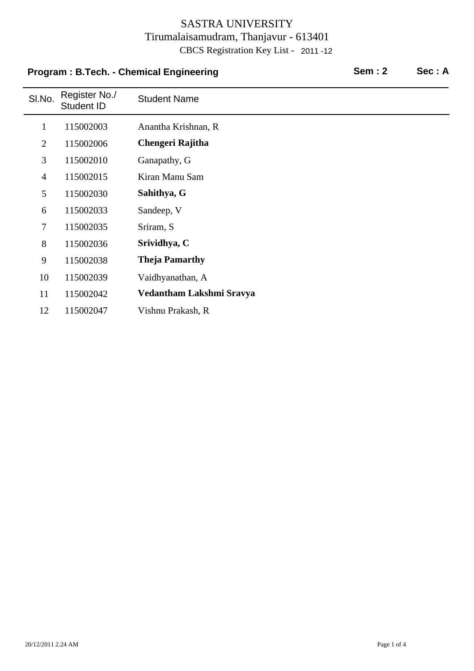# **Program : B.Tech. - Chemical Engineering Sem : 2 Sec : A**

| SI.No.         | Register No./<br><b>Student ID</b> | <b>Student Name</b>      |
|----------------|------------------------------------|--------------------------|
| $\mathbf{1}$   | 115002003                          | Anantha Krishnan, R      |
| $\overline{2}$ | 115002006                          | Chengeri Rajitha         |
| 3              | 115002010                          | Ganapathy, G             |
| $\overline{4}$ | 115002015                          | Kiran Manu Sam           |
| 5              | 115002030                          | Sahithya, G              |
| 6              | 115002033                          | Sandeep, V               |
| $\tau$         | 115002035                          | Sriram, S                |
| 8              | 115002036                          | Srividhya, C             |
| 9              | 115002038                          | <b>Theja Pamarthy</b>    |
| 10             | 115002039                          | Vaidhyanathan, A         |
| 11             | 115002042                          | Vedantham Lakshmi Sravya |
| 12             | 115002047                          | Vishnu Prakash, R        |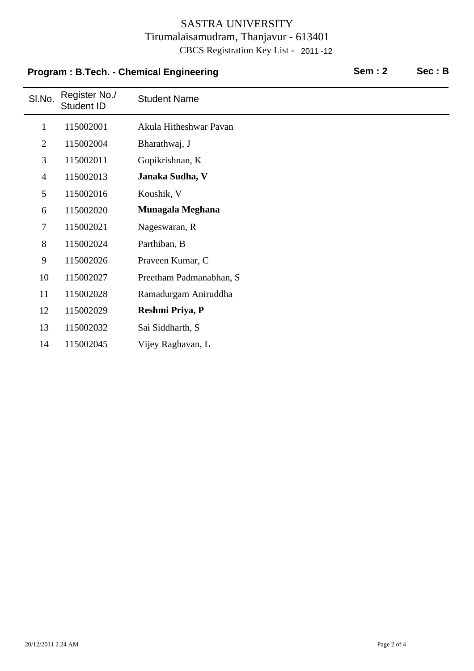# **Program : B.Tech. - Chemical Engineering Sem : 2 Sec : B**

| SI.No.         | Register No./<br>Student ID | <b>Student Name</b>     |
|----------------|-----------------------------|-------------------------|
| $\mathbf{1}$   | 115002001                   | Akula Hitheshwar Pavan  |
| $\overline{2}$ | 115002004                   | Bharathwaj, J           |
| 3              | 115002011                   | Gopikrishnan, K         |
| $\overline{4}$ | 115002013                   | Janaka Sudha, V         |
| 5              | 115002016                   | Koushik, V              |
| 6              | 115002020                   | Munagala Meghana        |
| 7              | 115002021                   | Nageswaran, R           |
| 8              | 115002024                   | Parthiban, B            |
| 9              | 115002026                   | Praveen Kumar, C        |
| 10             | 115002027                   | Preetham Padmanabhan, S |
| 11             | 115002028                   | Ramadurgam Aniruddha    |
| 12             | 115002029                   | Reshmi Priya, P         |
| 13             | 115002032                   | Sai Siddharth, S        |
| 14             | 115002045                   | Vijey Raghavan, L       |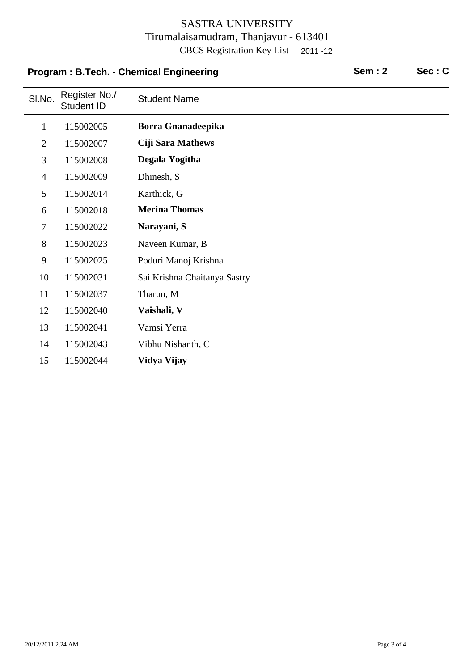# **Program : B.Tech. - Chemical Engineering Sem : 2 Sec : C**

| SI.No.         | Register No./<br>Student ID | <b>Student Name</b>          |
|----------------|-----------------------------|------------------------------|
| $\mathbf{1}$   | 115002005                   | Borra Gnanadeepika           |
| $\overline{2}$ | 115002007                   | <b>Ciji Sara Mathews</b>     |
| 3              | 115002008                   | Degala Yogitha               |
| $\overline{4}$ | 115002009                   | Dhinesh, S                   |
| 5              | 115002014                   | Karthick, G                  |
| 6              | 115002018                   | <b>Merina Thomas</b>         |
| $\tau$         | 115002022                   | Narayani, S                  |
| 8              | 115002023                   | Naveen Kumar, B              |
| 9              | 115002025                   | Poduri Manoj Krishna         |
| 10             | 115002031                   | Sai Krishna Chaitanya Sastry |
| 11             | 115002037                   | Tharun, M                    |
| 12             | 115002040                   | Vaishali, V                  |
| 13             | 115002041                   | Vamsi Yerra                  |
| 14             | 115002043                   | Vibhu Nishanth, C            |
| 15             | 115002044                   | Vidya Vijay                  |